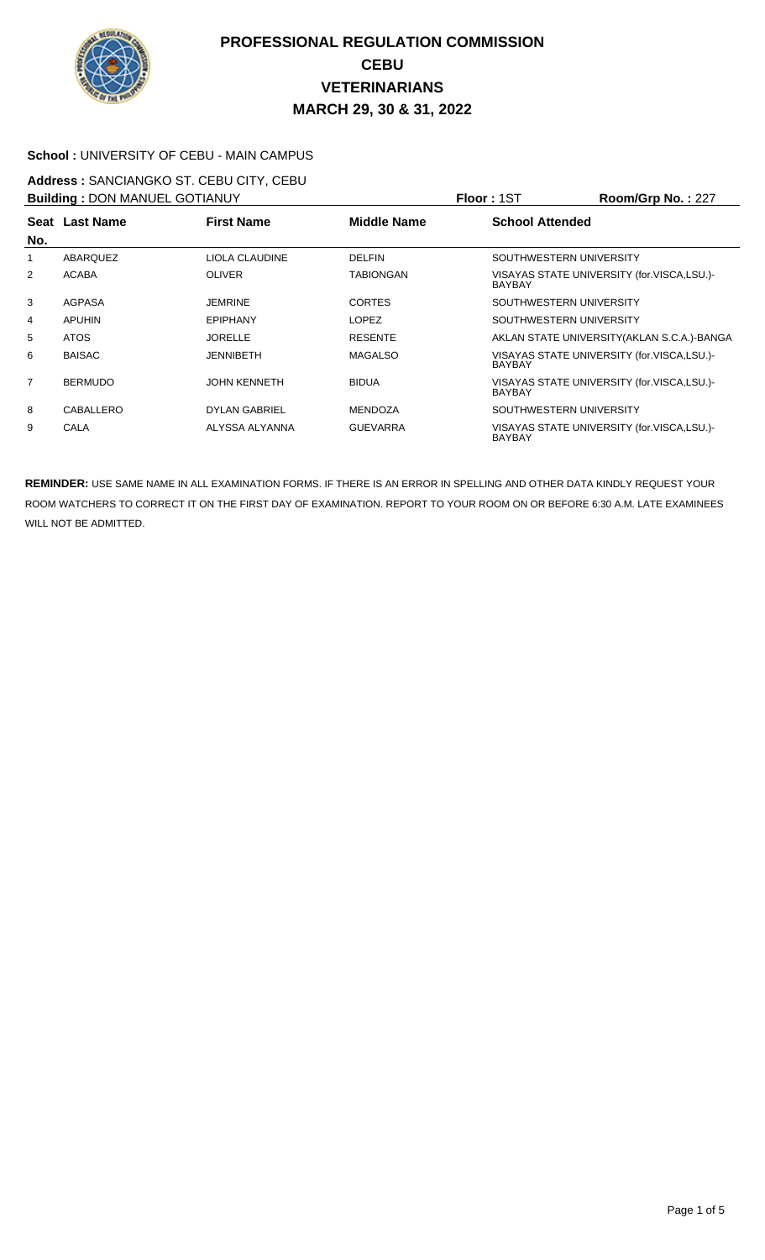

### **School :** UNIVERSITY OF CEBU - MAIN CAMPUS

#### **Address :** SANCIANGKO ST. CEBU CITY, CEBU **Building :** DON MANUEL GOTIANUY **Floor :** 1ST **Room/Grp No. :** 227

| <b>Building: DON MANUEL GOTIANUY</b> |                |                      |                    | <b>Floor</b> : 151<br><b>Room/Grp No.: 227</b>              |
|--------------------------------------|----------------|----------------------|--------------------|-------------------------------------------------------------|
| No.                                  | Seat Last Name | <b>First Name</b>    | <b>Middle Name</b> | <b>School Attended</b>                                      |
|                                      | ABARQUEZ       | LIOLA CLAUDINE       | <b>DELFIN</b>      | SOUTHWESTERN UNIVERSITY                                     |
| 2                                    | <b>ACABA</b>   | <b>OLIVER</b>        | TABIONGAN          | VISAYAS STATE UNIVERSITY (for.VISCA,LSU.)-<br><b>BAYBAY</b> |
| 3                                    | AGPASA         | <b>JEMRINE</b>       | <b>CORTES</b>      | SOUTHWESTERN UNIVERSITY                                     |
| 4                                    | <b>APUHIN</b>  | <b>EPIPHANY</b>      | <b>LOPEZ</b>       | SOUTHWESTERN UNIVERSITY                                     |
| 5                                    | <b>ATOS</b>    | <b>JORELLE</b>       | <b>RESENTE</b>     | AKLAN STATE UNIVERSITY (AKLAN S.C.A.)-BANGA                 |
| 6                                    | <b>BAISAC</b>  | <b>JENNIBETH</b>     | <b>MAGALSO</b>     | VISAYAS STATE UNIVERSITY (for.VISCA,LSU.)-<br><b>BAYBAY</b> |
| $\overline{7}$                       | <b>BERMUDO</b> | <b>JOHN KENNETH</b>  | <b>BIDUA</b>       | VISAYAS STATE UNIVERSITY (for.VISCA,LSU.)-<br><b>BAYBAY</b> |
| 8                                    | CABALLERO      | <b>DYLAN GABRIEL</b> | <b>MENDOZA</b>     | SOUTHWESTERN UNIVERSITY                                     |
| 9                                    | CALA           | ALYSSA ALYANNA       | <b>GUEVARRA</b>    | VISAYAS STATE UNIVERSITY (for.VISCA,LSU.)-<br><b>BAYBAY</b> |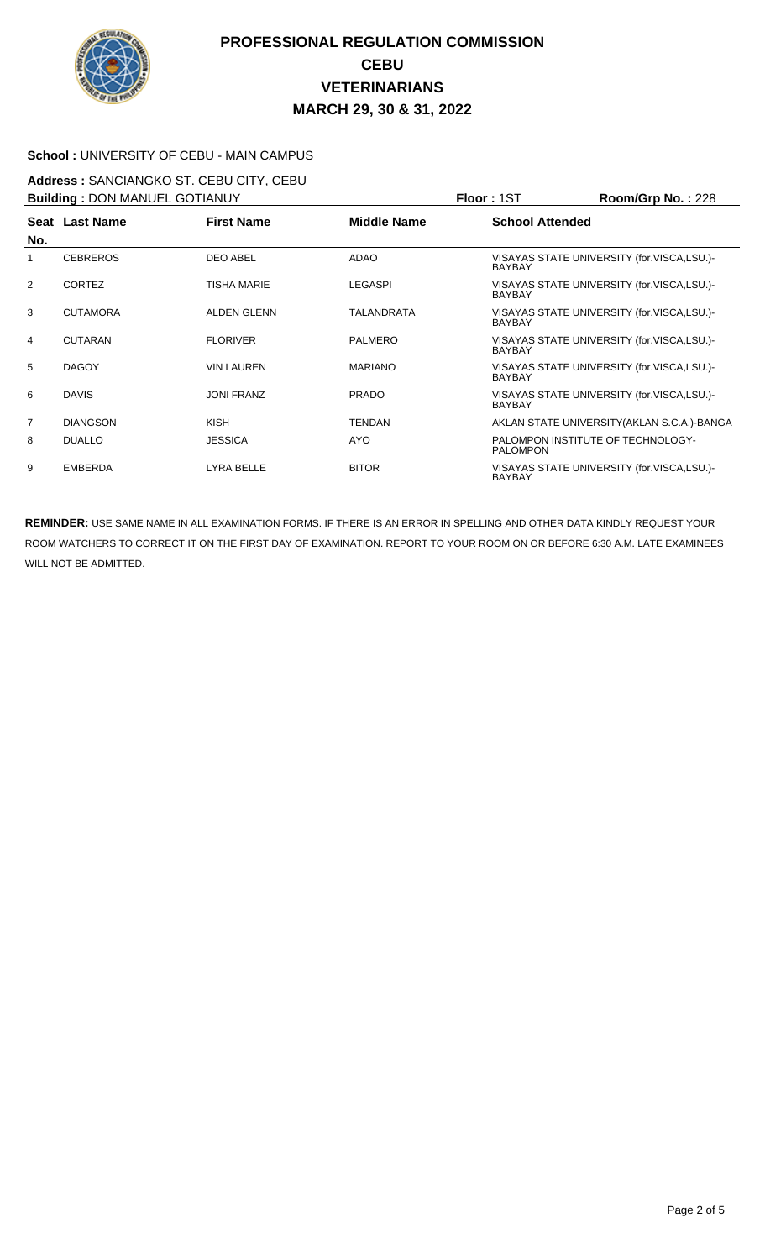

### **School :** UNIVERSITY OF CEBU - MAIN CAMPUS

# **Address :** SANCIANGKO ST. CEBU CITY, CEBU

| <b>Building: DON MANUEL GOTIANUY</b> |                 |                    |                   | <b>Floor: 1ST</b>      | Room/Grp No.: 228                           |
|--------------------------------------|-----------------|--------------------|-------------------|------------------------|---------------------------------------------|
| No.                                  | Seat Last Name  | <b>First Name</b>  | Middle Name       | <b>School Attended</b> |                                             |
| 1                                    | <b>CEBREROS</b> | <b>DEO ABEL</b>    | <b>ADAO</b>       | <b>BAYBAY</b>          | VISAYAS STATE UNIVERSITY (for.VISCA,LSU.)-  |
| 2                                    | <b>CORTEZ</b>   | <b>TISHA MARIE</b> | <b>LEGASPI</b>    | <b>BAYBAY</b>          | VISAYAS STATE UNIVERSITY (for.VISCA,LSU.)-  |
| 3                                    | <b>CUTAMORA</b> | <b>ALDEN GLENN</b> | <b>TALANDRATA</b> | <b>BAYBAY</b>          | VISAYAS STATE UNIVERSITY (for.VISCA,LSU.)-  |
| 4                                    | <b>CUTARAN</b>  | <b>FLORIVER</b>    | <b>PALMERO</b>    | <b>BAYBAY</b>          | VISAYAS STATE UNIVERSITY (for.VISCA,LSU.)-  |
| 5                                    | <b>DAGOY</b>    | <b>VIN LAUREN</b>  | <b>MARIANO</b>    | <b>BAYBAY</b>          | VISAYAS STATE UNIVERSITY (for.VISCA,LSU.)-  |
| 6                                    | <b>DAVIS</b>    | <b>JONI FRANZ</b>  | <b>PRADO</b>      | <b>BAYBAY</b>          | VISAYAS STATE UNIVERSITY (for.VISCA,LSU.)-  |
| 7                                    | <b>DIANGSON</b> | <b>KISH</b>        | <b>TENDAN</b>     |                        | AKLAN STATE UNIVERSITY (AKLAN S.C.A.)-BANGA |
| 8                                    | <b>DUALLO</b>   | <b>JESSICA</b>     | <b>AYO</b>        | <b>PALOMPON</b>        | PALOMPON INSTITUTE OF TECHNOLOGY-           |
| 9                                    | <b>EMBERDA</b>  | LYRA BELLE         | <b>BITOR</b>      | <b>BAYBAY</b>          | VISAYAS STATE UNIVERSITY (for.VISCA,LSU.)-  |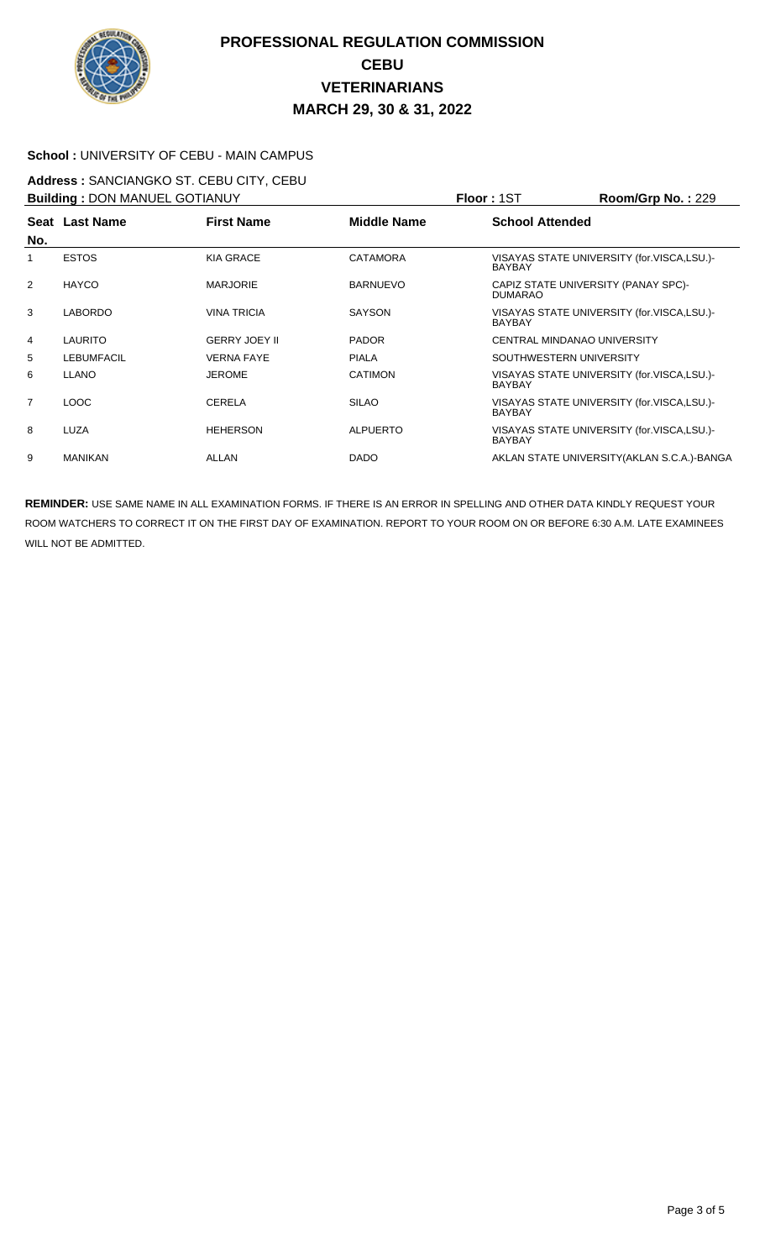

### **School :** UNIVERSITY OF CEBU - MAIN CAMPUS

#### **Address :** SANCIANGKO ST. CEBU CITY, CEBU **Building :** DON MANUEL GOTIANUY **Floor :** 1ST **Room/Grp No. :** 229

| <b>BUIIDING : DUN MANUEL GUTTANUY</b> |                   |                      |                    | PIOOF: 151<br>$\text{Room/GFD}$ No. : 229                   |
|---------------------------------------|-------------------|----------------------|--------------------|-------------------------------------------------------------|
| No.                                   | Seat Last Name    | <b>First Name</b>    | <b>Middle Name</b> | <b>School Attended</b>                                      |
| 1                                     | <b>ESTOS</b>      | <b>KIA GRACE</b>     | <b>CATAMORA</b>    | VISAYAS STATE UNIVERSITY (for.VISCA,LSU.)-<br><b>BAYBAY</b> |
| 2                                     | <b>HAYCO</b>      | <b>MARJORIE</b>      | <b>BARNUEVO</b>    | CAPIZ STATE UNIVERSITY (PANAY SPC)-<br><b>DUMARAO</b>       |
| 3                                     | <b>LABORDO</b>    | <b>VINA TRICIA</b>   | <b>SAYSON</b>      | VISAYAS STATE UNIVERSITY (for.VISCA,LSU.)-<br><b>BAYBAY</b> |
| 4                                     | <b>LAURITO</b>    | <b>GERRY JOEY II</b> | <b>PADOR</b>       | CENTRAL MINDANAO UNIVERSITY                                 |
| 5                                     | <b>LEBUMFACIL</b> | <b>VERNA FAYE</b>    | <b>PIALA</b>       | SOUTHWESTERN UNIVERSITY                                     |
| 6                                     | <b>LLANO</b>      | <b>JEROME</b>        | <b>CATIMON</b>     | VISAYAS STATE UNIVERSITY (for.VISCA,LSU.)-<br><b>BAYBAY</b> |
| $\overline{7}$                        | LOOC              | CERELA               | <b>SILAO</b>       | VISAYAS STATE UNIVERSITY (for.VISCA,LSU.)-<br><b>BAYBAY</b> |
| 8                                     | <b>LUZA</b>       | <b>HEHERSON</b>      | <b>ALPUERTO</b>    | VISAYAS STATE UNIVERSITY (for.VISCA,LSU.)-<br><b>BAYBAY</b> |
| 9                                     | <b>MANIKAN</b>    | ALLAN                | <b>DADO</b>        | AKLAN STATE UNIVERSITY (AKLAN S.C.A.)-BANGA                 |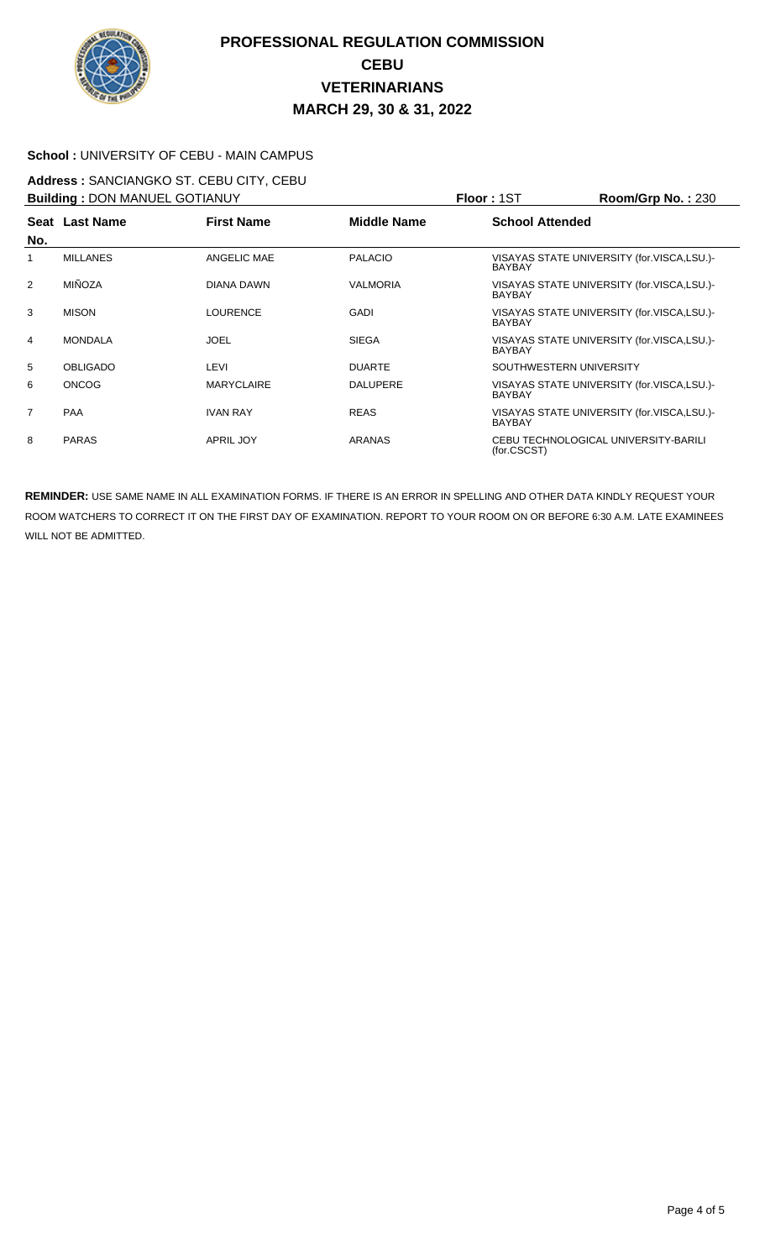

### **School :** UNIVERSITY OF CEBU - MAIN CAMPUS

#### **Address :** SANCIANGKO ST. CEBU CITY, CEBU **Building :** DON MANUEL GOTIANUY **Floor :** 1ST **Room/Grp No. :** 230

| <b>BUIIDING : DUN MANUEL GUTIANUY</b> |                 |                   |                 | PIOOF: 151<br>$\text{Koom/Grp}$ No. : 230                   |  |
|---------------------------------------|-----------------|-------------------|-----------------|-------------------------------------------------------------|--|
| No.                                   | Seat Last Name  | <b>First Name</b> | Middle Name     | <b>School Attended</b>                                      |  |
|                                       | <b>MILLANES</b> | ANGELIC MAE       | <b>PALACIO</b>  | VISAYAS STATE UNIVERSITY (for.VISCA,LSU.)-<br><b>BAYBAY</b> |  |
| 2                                     | <b>MIÑOZA</b>   | DIANA DAWN        | <b>VALMORIA</b> | VISAYAS STATE UNIVERSITY (for.VISCA,LSU.)-<br><b>BAYBAY</b> |  |
| 3                                     | <b>MISON</b>    | <b>LOURENCE</b>   | GADI            | VISAYAS STATE UNIVERSITY (for.VISCA,LSU.)-<br><b>BAYBAY</b> |  |
| $\overline{4}$                        | <b>MONDALA</b>  | <b>JOEL</b>       | <b>SIEGA</b>    | VISAYAS STATE UNIVERSITY (for.VISCA,LSU.)-<br><b>BAYBAY</b> |  |
| 5                                     | <b>OBLIGADO</b> | LEVI              | <b>DUARTE</b>   | SOUTHWESTERN UNIVERSITY                                     |  |
| 6                                     | <b>ONCOG</b>    | <b>MARYCLAIRE</b> | <b>DALUPERE</b> | VISAYAS STATE UNIVERSITY (for.VISCA,LSU.)-<br><b>BAYBAY</b> |  |
| $\overline{7}$                        | <b>PAA</b>      | <b>IVAN RAY</b>   | <b>REAS</b>     | VISAYAS STATE UNIVERSITY (for.VISCA,LSU.)-<br><b>BAYBAY</b> |  |
| 8                                     | <b>PARAS</b>    | <b>APRIL JOY</b>  | <b>ARANAS</b>   | CEBU TECHNOLOGICAL UNIVERSITY-BARILI<br>(for.CSCST)         |  |